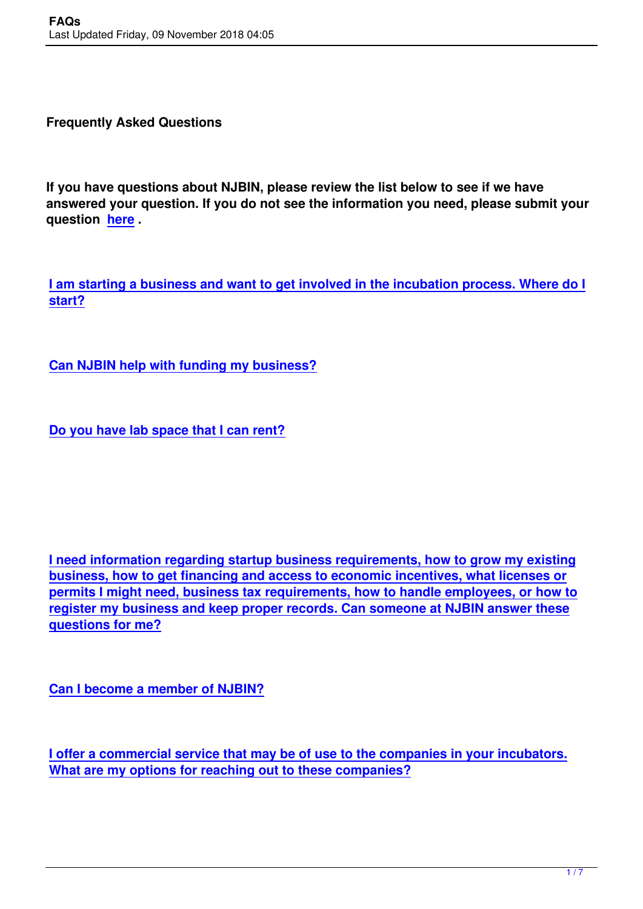**Frequently Asked Questions**

**If you have questions about NJBIN, please review the list below to see if we have answered your question. If you do not see the information you need, please submit your question here .**

**I am start[ing a](index.php?option=com_contact&view=contact&id=1&Itemid=73) business and want to get involved in the incubation process. Where do I start?**

**[Can N](#I am starting a business)JBIN help with funding my business?**

**[Do you have lab space that I can rent?](#Help with funding)**

**I need information regarding startup business requirements, how to grow my existing business, how to get financing and access to economic incentives, what licenses or permits I might need, business tax requirements, how to handle employees, or how to [register my business and keep proper records. Can someone at NJBIN answer these](#startup business requirements) [questions for me?](#startup business requirements)**

**[Can I become a me](#startup business requirements)mber of NJBIN?**

**[I offer a commercial service that ma](#Can I become a member)y be of use to the companies in your incubators. What are my options for reaching out to these companies?**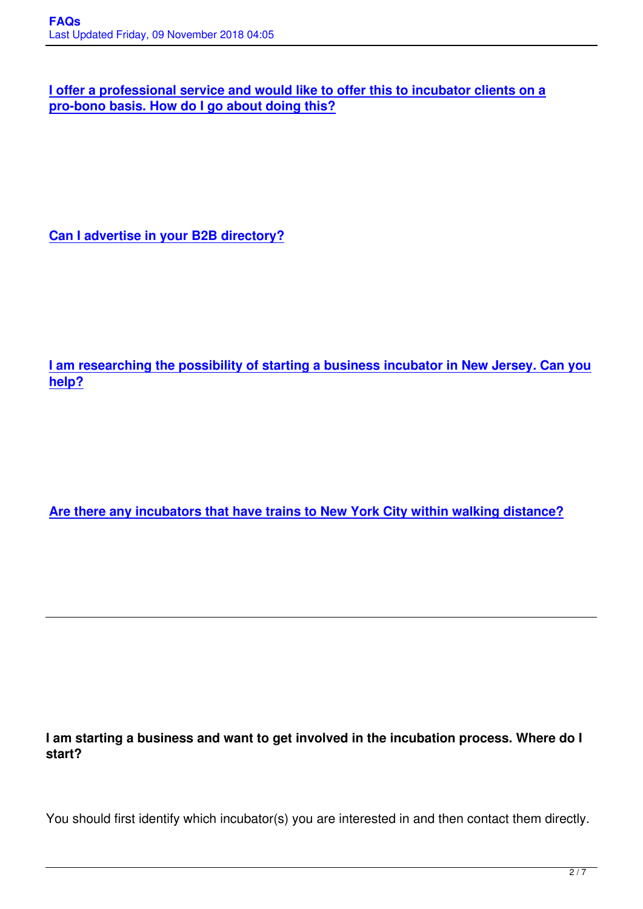**I offer a professional service and would like to offer this to incubator clients on a pro-bono basis. How do I go about doing this?**

**Can I advertise in your B2B directory?**

**I am researching the possibility of starting a business incubator in New Jersey. Can you help?**

**Are there any incubators that have trains to New York City within walking distance?**

**I am starting a business and want to get involved in the incubation process. Where do I start?**

You should first identify which incubator(s) you are interested in and then contact them directly.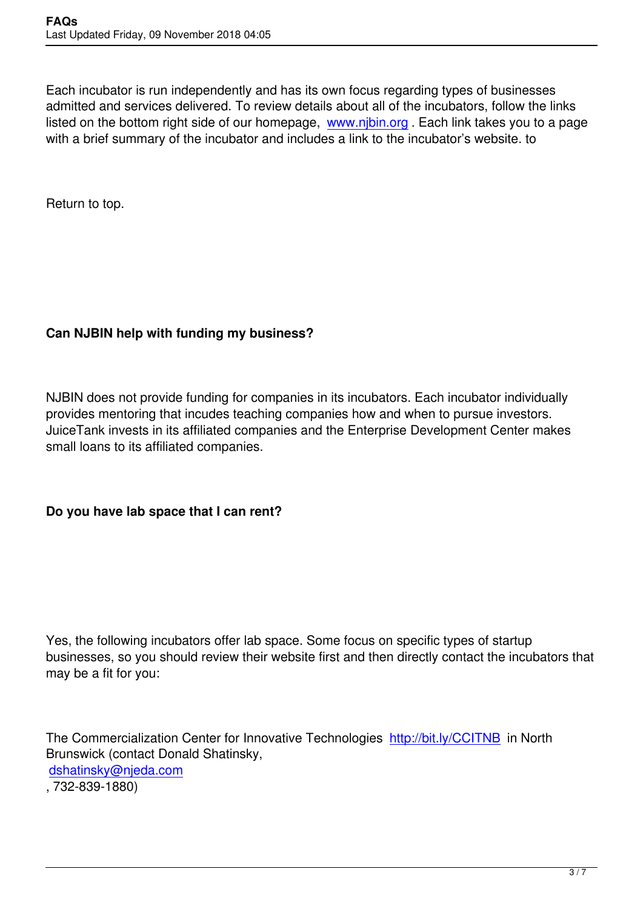Each incubator is run independently and has its own focus regarding types of businesses admitted and services delivered. To review details about all of the incubators, follow the links listed on the bottom right side of our homepage, www.njbin.org. Each link takes you to a page with a brief summary of the incubator and includes a link to the incubator's website. to

Return to top.

# **Can NJBIN help with funding my business?**

NJBIN does not provide funding for companies in its incubators. Each incubator individually provides mentoring that incudes teaching companies how and when to pursue investors. JuiceTank invests in its affiliated companies and the Enterprise Development Center makes small loans to its affiliated companies.

## **Do you have lab space that I can rent?**

Yes, the following incubators offer lab space. Some focus on specific types of startup businesses, so you should review their website first and then directly contact the incubators that may be a fit for you:

The Commercialization Center for Innovative Technologies http://bit.ly/CCITNB in North Brunswick (contact Donald Shatinsky, dshatinsky@njeda.com , 732-839-1880)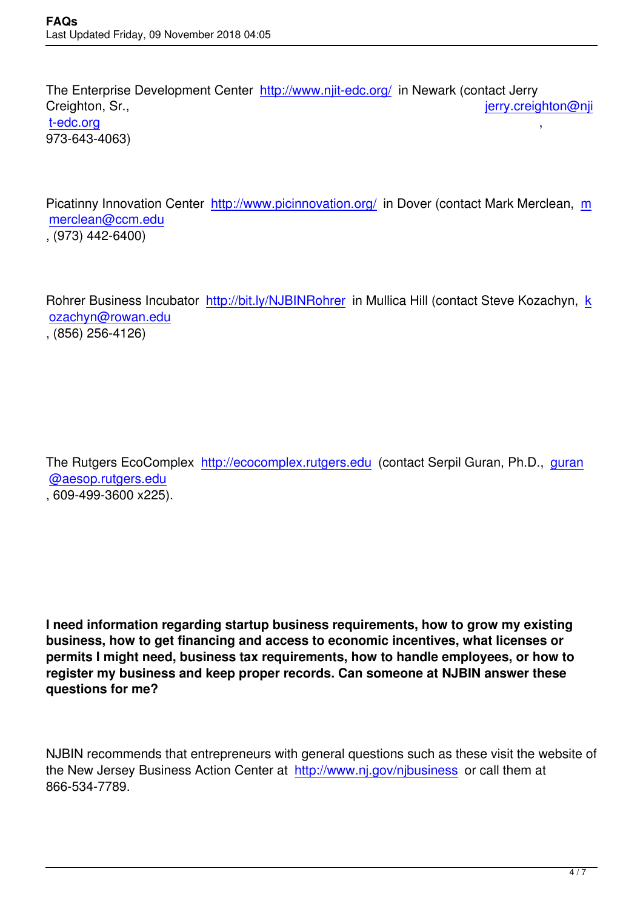Picatinny Innovation Center http://www.picinnovation.org/ in Dover (contact Mark Merclean, m merclean@ccm.edu , (973) 442-6400)

Rohrer Business Incubator http://bit.ly/NJBINRohrer in Mullica Hill (contact Steve Kozachyn, k ozachyn@rowan.edu , (856) 256-4126)

The Rutgers EcoComplex http://ecocomplex.rutgers.edu (contact Serpil Guran, Ph.D., guran @aesop.rutgers.edu , 609-499-3600 x225).

**I need information regarding startup business requirements, how to grow my existing business, how to get financing and access to economic incentives, what licenses or permits I might need, business tax requirements, how to handle employees, or how to register my business and keep proper records. Can someone at NJBIN answer these questions for me?**

NJBIN recommends that entrepreneurs with general questions such as these visit the website of the New Jersey Business Action Center at http://www.nj.gov/njbusiness or call them at 866-534-7789.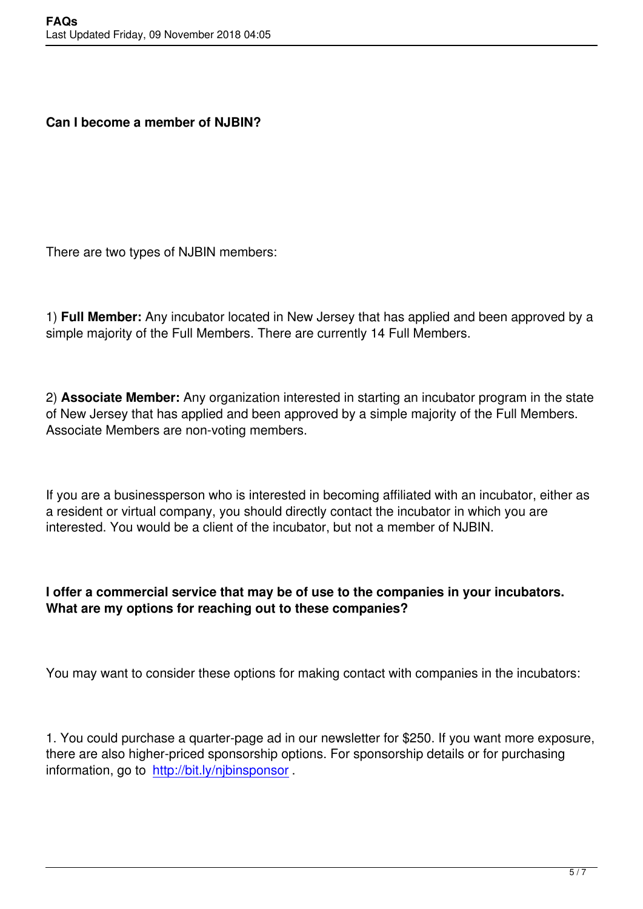There are two types of NJBIN members:

1) **Full Member:** Any incubator located in New Jersey that has applied and been approved by a simple majority of the Full Members. There are currently 14 Full Members.

2) **Associate Member:** Any organization interested in starting an incubator program in the state of New Jersey that has applied and been approved by a simple majority of the Full Members. Associate Members are non-voting members.

If you are a businessperson who is interested in becoming affiliated with an incubator, either as a resident or virtual company, you should directly contact the incubator in which you are interested. You would be a client of the incubator, but not a member of NJBIN.

#### **I offer a commercial service that may be of use to the companies in your incubators. What are my options for reaching out to these companies?**

You may want to consider these options for making contact with companies in the incubators:

1. You could purchase a quarter-page ad in our newsletter for \$250. If you want more exposure, there are also higher-priced sponsorship options. For sponsorship details or for purchasing information, go to http://bit.ly/njbinsponsor.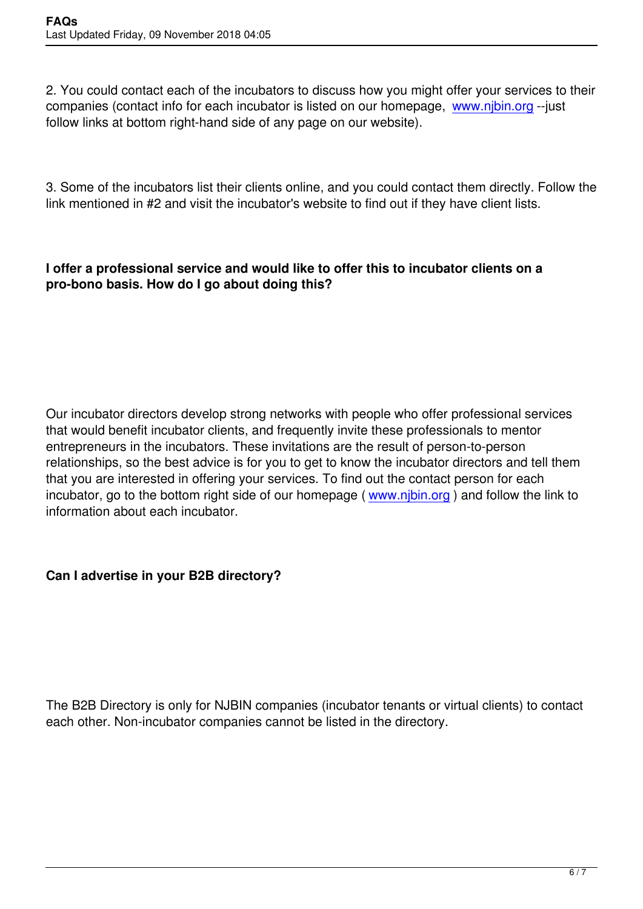2. You could contact each of the incubators to discuss how you might offer your services to their companies (contact info for each incubator is listed on our homepage, www.njbin.org --just follow links at bottom right-hand side of any page on our website).

3. Some of the incubators list their clients online, and you could contact them directly. Follow the link mentioned in #2 and visit the incubator's website to find out if they have client lists.

#### **I offer a professional service and would like to offer this to incubator clients on a pro-bono basis. How do I go about doing this?**

Our incubator directors develop strong networks with people who offer professional services that would benefit incubator clients, and frequently invite these professionals to mentor entrepreneurs in the incubators. These invitations are the result of person-to-person relationships, so the best advice is for you to get to know the incubator directors and tell them that you are interested in offering your services. To find out the contact person for each incubator, go to the bottom right side of our homepage (www.njbin.org) and follow the link to information about each incubator.

### **Can I advertise in your B2B directory?**

The B2B Directory is only for NJBIN companies (incubator tenants or virtual clients) to contact each other. Non-incubator companies cannot be listed in the directory.